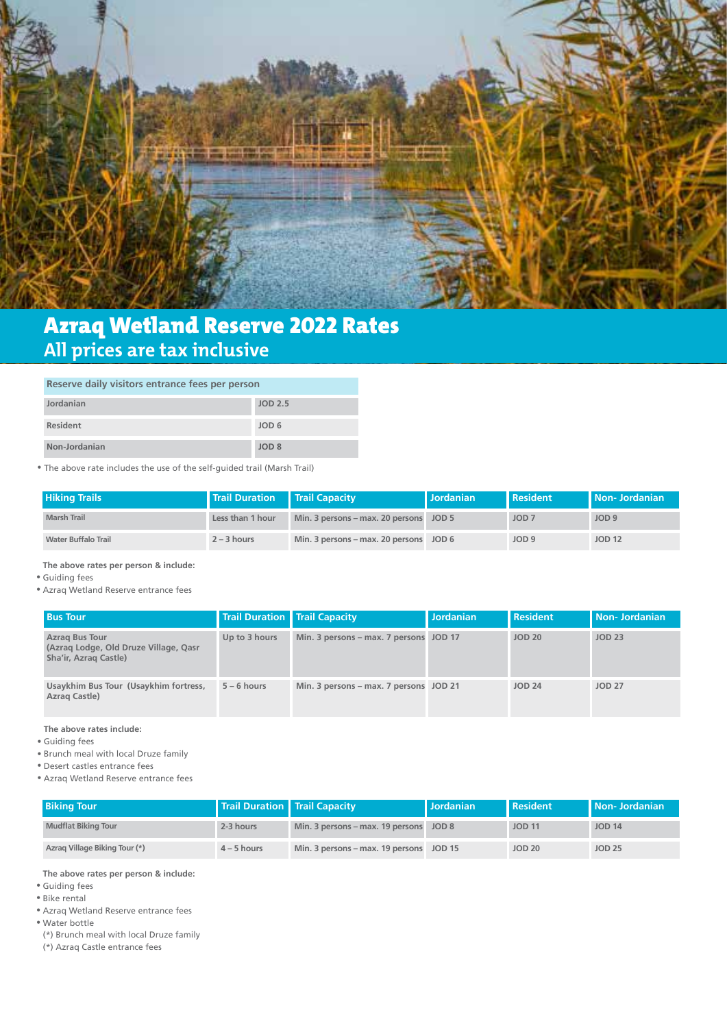

# Azraq Wetland Reserve 2022 Rates **All prices are tax inclusive**

#### **Reserve daily visitors entrance fees per person**

| Jordanian       | JOD 2.5          |
|-----------------|------------------|
| <b>Resident</b> | JOD <sub>6</sub> |
| Non-Jordanian   | JOD <sub>8</sub> |

• The above rate includes the use of the self-guided trail (Marsh Trail)

| <b>Hiking Trails</b>       | Trail Duration   Trail Capacity |                                        | <b>Jordanian</b> | <b>Resident</b>  | <b>I</b> Non-Jordanian |
|----------------------------|---------------------------------|----------------------------------------|------------------|------------------|------------------------|
| <b>Marsh Trail</b>         | Less than 1 hour                | Min. 3 persons - max. 20 persons JOD 5 |                  | JOD <sub>7</sub> | JOD <sub>9</sub>       |
| <b>Water Buffalo Trail</b> | $2 - 3$ hours                   | Min. 3 persons - max. 20 persons JOD 6 |                  | JOD <sub>9</sub> | <b>JOD 12</b>          |

**The above rates per person & include:**

Guiding fees •

Azraq Wetland Reserve entrance fees •

| <b>Bus Tour</b>                                                                         | Trail Duration   Trail Capacity |                                        | <b>Jordanian</b> | <b>Resident</b> | <b>Non-Jordanian</b> |
|-----------------------------------------------------------------------------------------|---------------------------------|----------------------------------------|------------------|-----------------|----------------------|
| <b>Azrag Bus Tour</b><br>(Azraq Lodge, Old Druze Village, Qasr<br>Sha'ir, Azrag Castle) | Up to 3 hours                   | Min. 3 persons - max. 7 persons JOD 17 |                  | <b>JOD 20</b>   | <b>JOD 23</b>        |
| Usaykhim Bus Tour (Usaykhim fortress,<br>Azrag Castle)                                  | $5 - 6$ hours                   | Min. 3 persons - max. 7 persons JOD 21 |                  | <b>JOD 24</b>   | <b>JOD 27</b>        |

**The above rates include:**

Guiding fees •

• Brunch meal with local Druze family

- Desert castles entrance fees •
- Azraq Wetland Reserve entrance fees •

| <b>Biking Tour</b>            | <b>Trail Duration   Trail Capacity</b> |                                         | l Jordanian | <b>Resident</b> | Non-Jordanian |
|-------------------------------|----------------------------------------|-----------------------------------------|-------------|-----------------|---------------|
| <b>Mudflat Biking Tour</b>    | 2-3 hours                              | Min. 3 persons - max. 19 persons JOD 8  |             | <b>JOD 11</b>   | <b>JOD 14</b> |
| Azrag Village Biking Tour (*) | $4 - 5$ hours                          | Min. 3 persons – max. 19 persons JOD 15 |             | <b>JOD 20</b>   | <b>JOD 25</b> |

**The above rates per person & include:**

Guiding fees •

Bike rental •

Azraq Wetland Reserve entrance fees •

Water bottle •

(\*) Brunch meal with local Druze family

(\*) Azraq Castle entrance fees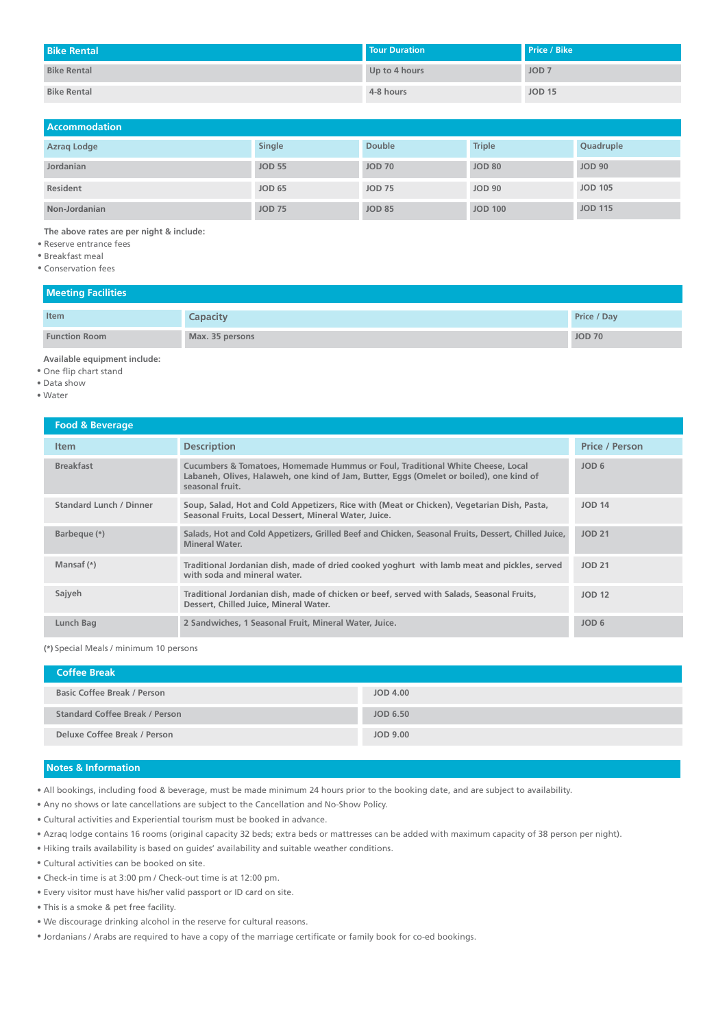| <b>Bike Rental</b> | <b>Tour Duration</b> | Price / Bike     |
|--------------------|----------------------|------------------|
| <b>Bike Rental</b> | Up to 4 hours        | JOD <sub>7</sub> |
| <b>Bike Rental</b> | 4-8 hours            | <b>JOD 15</b>    |

| <b>Accommodation</b> |               |               |                |                |
|----------------------|---------------|---------------|----------------|----------------|
| Azrag Lodge          | Single        | <b>Double</b> | <b>Triple</b>  | Quadruple      |
| Jordanian            | <b>JOD 55</b> | <b>JOD 70</b> | <b>JOD 80</b>  | <b>JOD 90</b>  |
| Resident             | <b>JOD 65</b> | <b>JOD 75</b> | <b>JOD 90</b>  | <b>JOD 105</b> |
| Non-Jordanian        | <b>JOD 75</b> | <b>JOD 85</b> | <b>JOD 100</b> | <b>JOD 115</b> |

**The above rates are per night & include:**

Reserve entrance fees •

- Breakfast meal •
- Conservation fees

### **Meeting Facilities**

| Item                 | Capacity        | Price / Day   |
|----------------------|-----------------|---------------|
| <b>Function Room</b> | Max. 35 persons | <b>JOD 70</b> |

**Available equipment include:**

One flip chart stand •

- Data show •
- Water •

| Food & Beverage                |                                                                                                                                                                                              |                       |
|--------------------------------|----------------------------------------------------------------------------------------------------------------------------------------------------------------------------------------------|-----------------------|
| <b>Item</b>                    | <b>Description</b>                                                                                                                                                                           | <b>Price / Person</b> |
| <b>Breakfast</b>               | Cucumbers & Tomatoes, Homemade Hummus or Foul, Traditional White Cheese, Local<br>Labaneh, Olives, Halaweh, one kind of Jam, Butter, Eggs (Omelet or boiled), one kind of<br>seasonal fruit. | JOD <sub>6</sub>      |
| <b>Standard Lunch / Dinner</b> | Soup, Salad, Hot and Cold Appetizers, Rice with (Meat or Chicken), Vegetarian Dish, Pasta,<br>Seasonal Fruits, Local Dessert, Mineral Water, Juice,                                          | <b>JOD 14</b>         |
| Barbeque (*)                   | Salads, Hot and Cold Appetizers, Grilled Beef and Chicken, Seasonal Fruits, Dessert, Chilled Juice,<br><b>Mineral Water.</b>                                                                 | <b>JOD 21</b>         |
| Mansaf (*)                     | Traditional Jordanian dish, made of dried cooked yoghurt with lamb meat and pickles, served<br>with soda and mineral water.                                                                  | <b>JOD 21</b>         |
| Sajyeh                         | Traditional Jordanian dish, made of chicken or beef, served with Salads, Seasonal Fruits,<br>Dessert, Chilled Juice, Mineral Water.                                                          | <b>JOD 12</b>         |
| Lunch Bag                      | 2 Sandwiches, 1 Seasonal Fruit, Mineral Water, Juice.                                                                                                                                        | JOD <sub>6</sub>      |

**(\*)** Special Meals / minimum 10 persons

| <b>Coffee Break</b>                |          |
|------------------------------------|----------|
| <b>Basic Coffee Break / Person</b> | JOD 4.00 |
| Standard Coffee Break / Person     | JOD 6.50 |
| Deluxe Coffee Break / Person       | JOD 9.00 |

#### **Notes & Information**

 $\bullet$  All bookings, including food & beverage, must be made minimum 24 hours prior to the booking date, and are subject to availability.

- Any no shows or late cancellations are subject to the Cancellation and No-Show Policy. •
- Cultural activities and Experiential tourism must be booked in advance. •
- Azraq lodge contains 16 rooms (original capacity 32 beds; extra beds or mattresses can be added with maximum capacity of 38 person per night).
- Hiking trails availability is based on guides' availability and suitable weather conditions. •
- Cultural activities can be booked on site. •
- Check-in time is at 3:00 pm / Check-out time is at 12:00 pm. •
- Every visitor must have his/her valid passport or ID card on site. •
- This is a smoke & pet free facility. •
- We discourage drinking alcohol in the reserve for cultural reasons. •
- Jordanians / Arabs are required to have a copy of the marriage certificate or family book for co-ed bookings.